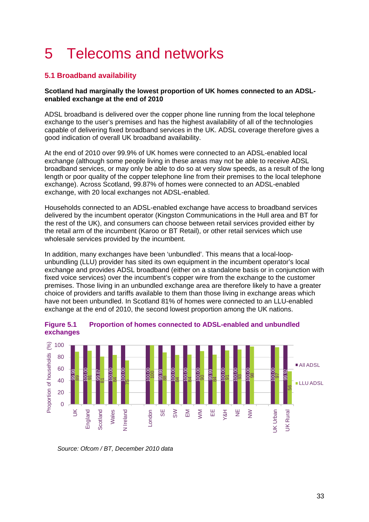# 5 Telecoms and networks

# **5.1 Broadband availability**

## **Scotland had marginally the lowest proportion of UK homes connected to an ADSLenabled exchange at the end of 2010**

ADSL broadband is delivered over the copper phone line running from the local telephone exchange to the user's premises and has the highest availability of all of the technologies capable of delivering fixed broadband services in the UK. ADSL coverage therefore gives a good indication of overall UK broadband availability.

At the end of 2010 over 99.9% of UK homes were connected to an ADSL-enabled local exchange (although some people living in these areas may not be able to receive ADSL broadband services, or may only be able to do so at very slow speeds, as a result of the long length or poor quality of the copper telephone line from their premises to the local telephone exchange). Across Scotland, 99.87% of homes were connected to an ADSL-enabled exchange, with 20 local exchanges not ADSL-enabled.

Households connected to an ADSL-enabled exchange have access to broadband services delivered by the incumbent operator (Kingston Communications in the Hull area and BT for the rest of the UK), and consumers can choose between retail services provided either by the retail arm of the incumbent (Karoo or BT Retail), or other retail services which use wholesale services provided by the incumbent.

In addition, many exchanges have been 'unbundled'. This means that a local-loopunbundling (LLU) provider has sited its own equipment in the incumbent operator's local exchange and provides ADSL broadband (either on a standalone basis or in conjunction with fixed voice services) over the incumbent's copper wire from the exchange to the customer premises. Those living in an unbundled exchange area are therefore likely to have a greater choice of providers and tariffs available to them than those living in exchange areas which have not been unbundled. In Scotland 81% of homes were connected to an LLU-enabled exchange at the end of 2010, the second lowest proportion among the UK nations.



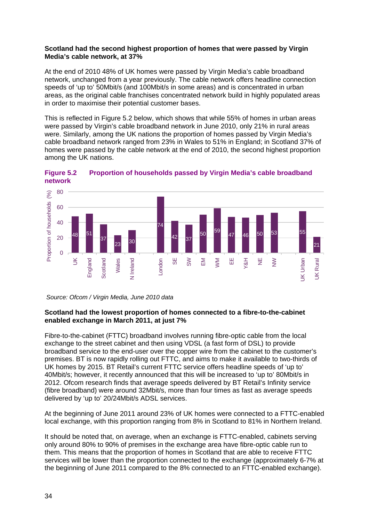#### **Scotland had the second highest proportion of homes that were passed by Virgin Media's cable network, at 37%**

At the end of 2010 48% of UK homes were passed by Virgin Media's cable broadband network, unchanged from a year previously. The cable network offers headline connection speeds of 'up to' 50Mbit/s (and 100Mbit/s in some areas) and is concentrated in urban areas, as the original cable franchises concentrated network build in highly populated areas in order to maximise their potential customer bases.

This is reflected in [Figure 5.2](#page-1-0) below, which shows that while 55% of homes in urban areas were passed by Virgin's cable broadband network in June 2010, only 21% in rural areas were. Similarly, among the UK nations the proportion of homes passed by Virgin Media's cable broadband network ranged from 23% in Wales to 51% in England; in Scotland 37% of homes were passed by the cable network at the end of 2010, the second highest proportion among the UK nations.



<span id="page-1-0"></span>**Figure 5.2 Proportion of households passed by Virgin Media's cable broadband network**

*Source: Ofcom / Virgin Media, June 2010 data*

# **Scotland had the lowest proportion of homes connected to a fibre-to-the-cabinet enabled exchange in March 2011, at just 7%**

Fibre-to-the-cabinet (FTTC) broadband involves running fibre-optic cable from the local exchange to the street cabinet and then using VDSL (a fast form of DSL) to provide broadband service to the end-user over the copper wire from the cabinet to the customer's premises. BT is now rapidly rolling out FTTC, and aims to make it available to two-thirds of UK homes by 2015. BT Retail's current FTTC service offers headline speeds of 'up to' 40Mbit/s; however, it recently announced that this will be increased to 'up to' 80Mbit/s in 2012. Ofcom research finds that average speeds delivered by BT Retail's Infinity service (fibre broadband) were around 32Mbit/s, more than four times as fast as average speeds delivered by 'up to' 20/24Mbit/s ADSL services.

At the beginning of June 2011 around 23% of UK homes were connected to a FTTC-enabled local exchange, with this proportion ranging from 8% in Scotland to 81% in Northern Ireland.

It should be noted that, on average, when an exchange is FTTC-enabled, cabinets serving only around 80% to 90% of premises in the exchange area have fibre-optic cable run to them. This means that the proportion of homes in Scotland that are able to receive FTTC services will be lower than the proportion connected to the exchange (approximately 6-7% at the beginning of June 2011 compared to the 8% connected to an FTTC-enabled exchange).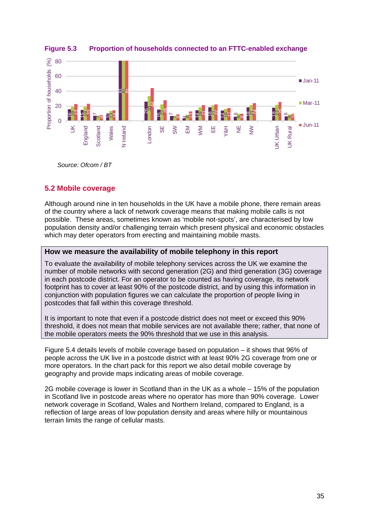



*Source: Ofcom / BT*

# **5.2 Mobile coverage**

Although around nine in ten households in the UK have a mobile phone, there remain areas of the country where a lack of network coverage means that making mobile calls is not possible. These areas, sometimes known as 'mobile not-spots', are characterised by low population density and/or challenging terrain which present physical and economic obstacles which may deter operators from erecting and maintaining mobile masts.

# **How we measure the availability of mobile telephony in this report**

To evaluate the availability of mobile telephony services across the UK we examine the number of mobile networks with second generation (2G) and third generation (3G) coverage in each postcode district. For an operator to be counted as having coverage, its network footprint has to cover at least 90% of the postcode district, and by using this information in conjunction with population figures we can calculate the proportion of people living in postcodes that fall within this coverage threshold.

It is important to note that even if a postcode district does not meet or exceed this 90% threshold, it does not mean that mobile services are not available there; rather, that none of the mobile operators meets the 90% threshold that we use in this analysis.

[Figure 5.4](#page-3-0) details levels of mobile coverage based on population – it shows that 96% of people across the UK live in a postcode district with at least 90% 2G coverage from one or more operators. In the chart pack for this report we also detail mobile coverage by geography and provide maps indicating areas of mobile coverage.

2G mobile coverage is lower in Scotland than in the UK as a whole – 15% of the population in Scotland live in postcode areas where no operator has more than 90% coverage. Lower network coverage in Scotland, Wales and Northern Ireland, compared to England, is a reflection of large areas of low population density and areas where hilly or mountainous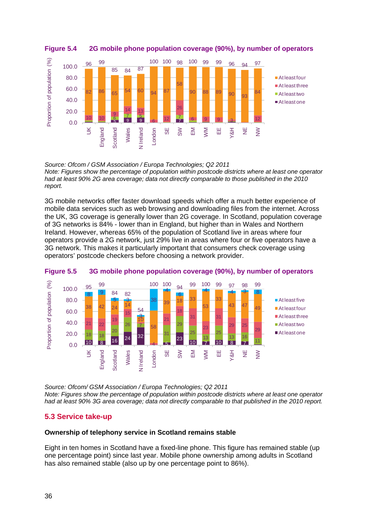

<span id="page-3-0"></span>**Figure 5.4 2G mobile phone population coverage (90%), by number of operators** 

*Source: Ofcom / GSM Association / Europa Technologies; Q2 2011 Note: Figures show the percentage of population within postcode districts where at least one operator had at least 90% 2G area coverage; data not directly comparable to those published in the 2010 report.*

3G mobile networks offer faster download speeds which offer a much better experience of mobile data services such as web browsing and downloading files from the internet. Across the UK, 3G coverage is generally lower than 2G coverage. In Scotland, population coverage of 3G networks is 84% - lower than in England, but higher than in Wales and Northern Ireland. However, whereas 65% of the population of Scotland live in areas where four operators provide a 2G network, just 29% live in areas where four or five operators have a 3G network. This makes it particularly important that consumers check coverage using operators' postcode checkers before choosing a network provider.





*Source: Ofcom/ GSM Association / Europa Technologies; Q2 2011 Note: Figures show the percentage of population within postcode districts where at least one operator had at least 90% 3G area coverage; data not directly comparable to that published in the 2010 report.*

# **5.3 Service take-up**

## **Ownership of telephony service in Scotland remains stable**

Eight in ten homes in Scotland have a fixed-line phone. This figure has remained stable (up one percentage point) since last year. Mobile phone ownership among adults in Scotland has also remained stable (also up by one percentage point to 86%).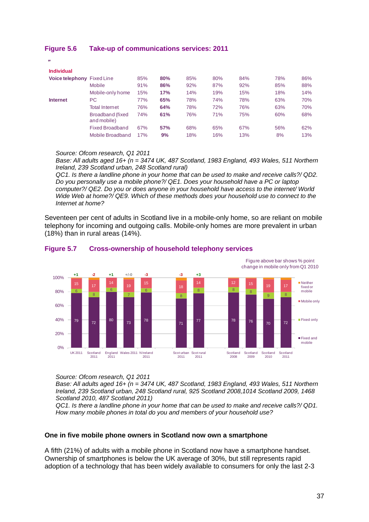| -                          |                                         |     |     |     |     |     |     |     |
|----------------------------|-----------------------------------------|-----|-----|-----|-----|-----|-----|-----|
| <b>Individual</b>          |                                         |     |     |     |     |     |     |     |
| Voice telephony Fixed Line |                                         | 85% | 80% | 85% | 80% | 84% | 78% | 86% |
|                            | <b>Mobile</b>                           | 91% | 86% | 92% | 87% | 92% | 85% | 88% |
|                            | Mobile-only home                        | 15% | 17% | 14% | 19% | 15% | 18% | 14% |
| <b>Internet</b>            | PC.                                     | 77% | 65% | 78% | 74% | 78% | 63% | 70% |
|                            | <b>Total Internet</b>                   | 76% | 64% | 78% | 72% | 76% | 63% | 70% |
|                            | <b>Broadband (fixed)</b><br>and mobile) | 74% | 61% | 76% | 71% | 75% | 60% | 68% |
|                            | <b>Fixed Broadband</b>                  | 67% | 57% | 68% | 65% | 67% | 56% | 62% |
|                            | Mobile Broadband                        | 17% | 9%  | 18% | 16% | 13% | 8%  | 13% |
|                            |                                         |     |     |     |     |     |     |     |

# **Figure 5.6 Take-up of communications services: 2011**

#### *Source: Ofcom research, Q1 2011*

*Base: All adults aged 16+ (n = 3474 UK, 487 Scotland, 1983 England, 493 Wales, 511 Northern Ireland, 239 Scotland urban, 248 Scotland rural)* 

*QC1. Is there a landline phone in your home that can be used to make and receive calls?/ QD2. Do you personally use a mobile phone?/ QE1. Does your household have a PC or laptop computer?/ QE2. Do you or does anyone in your household have access to the internet/ World Wide Web at home?/ QE9. Which of these methods does your household use to connect to the Internet at home?*

Seventeen per cent of adults in Scotland live in a mobile-only home, so are reliant on mobile telephony for incoming and outgoing calls. Mobile-only homes are more prevalent in urban (18%) than in rural areas (14%).



## **Figure 5.7 Cross-ownership of household telephony services**

*Source: Ofcom research, Q1 2011* 

*Base: All adults aged 16+ (n = 3474 UK, 487 Scotland, 1983 England, 493 Wales, 511 Northern Ireland, 239 Scotland urban, 248 Scotland rural, 925 Scotland 2008,1014 Scotland 2009, 1468 Scotland 2010, 487 Scotland 2011)* 

*QC1. Is there a landline phone in your home that can be used to make and receive calls?/ QD1. How many mobile phones in total do you and members of your household use?*

## **One in five mobile phone owners in Scotland now own a smartphone**

A fifth (21%) of adults with a mobile phone in Scotland now have a smartphone handset. Ownership of smartphones is below the UK average of 30%, but still represents rapid adoption of a technology that has been widely available to consumers for only the last 2-3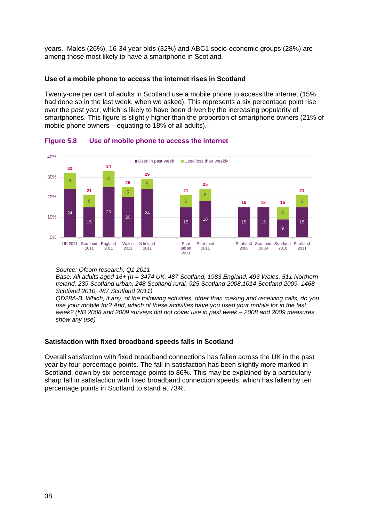years. Males (26%), 16-34 year olds (32%) and ABC1 socio-economic groups (28%) are among those most likely to have a smartphone in Scotland.

## **Use of a mobile phone to access the internet rises in Scotland**

Twenty-one per cent of adults in Scotland use a mobile phone to access the internet (15% had done so in the last week, when we asked). This represents a six percentage point rise over the past year, which is likely to have been driven by the increasing popularity of smartphones. This figure is slightly higher than the proportion of smartphone owners (21% of mobile phone owners – equating to 18% of all adults).



## **Figure 5.8 Use of mobile phone to access the internet**

*Source: Ofcom research, Q1 2011* 

*Base: All adults aged 16+ (n = 3474 UK, 487 Scotland, 1983 England, 493 Wales, 511 Northern Ireland, 239 Scotland urban, 248 Scotland rural, 925 Scotland 2008,1014 Scotland 2009, 1468 Scotland 2010, 487 Scotland 2011)* 

*QD28A-B. Which, if any, of the following activities, other than making and receiving calls, do you use your mobile for? And, which of these activities have you used your mobile for in the last week? (NB 2008 and 2009 surveys did not cover use in past week – 2008 and 2009 measures show any use)* 

# **Satisfaction with fixed broadband speeds falls in Scotland**

Overall satisfaction with fixed broadband connections has fallen across the UK in the past year by four percentage points. The fall in satisfaction has been slightly more marked in Scotland, down by six percentage points to 86%. This may be explained by a particularly sharp fall in satisfaction with fixed broadband connection speeds, which has fallen by ten percentage points in Scotland to stand at 73%.